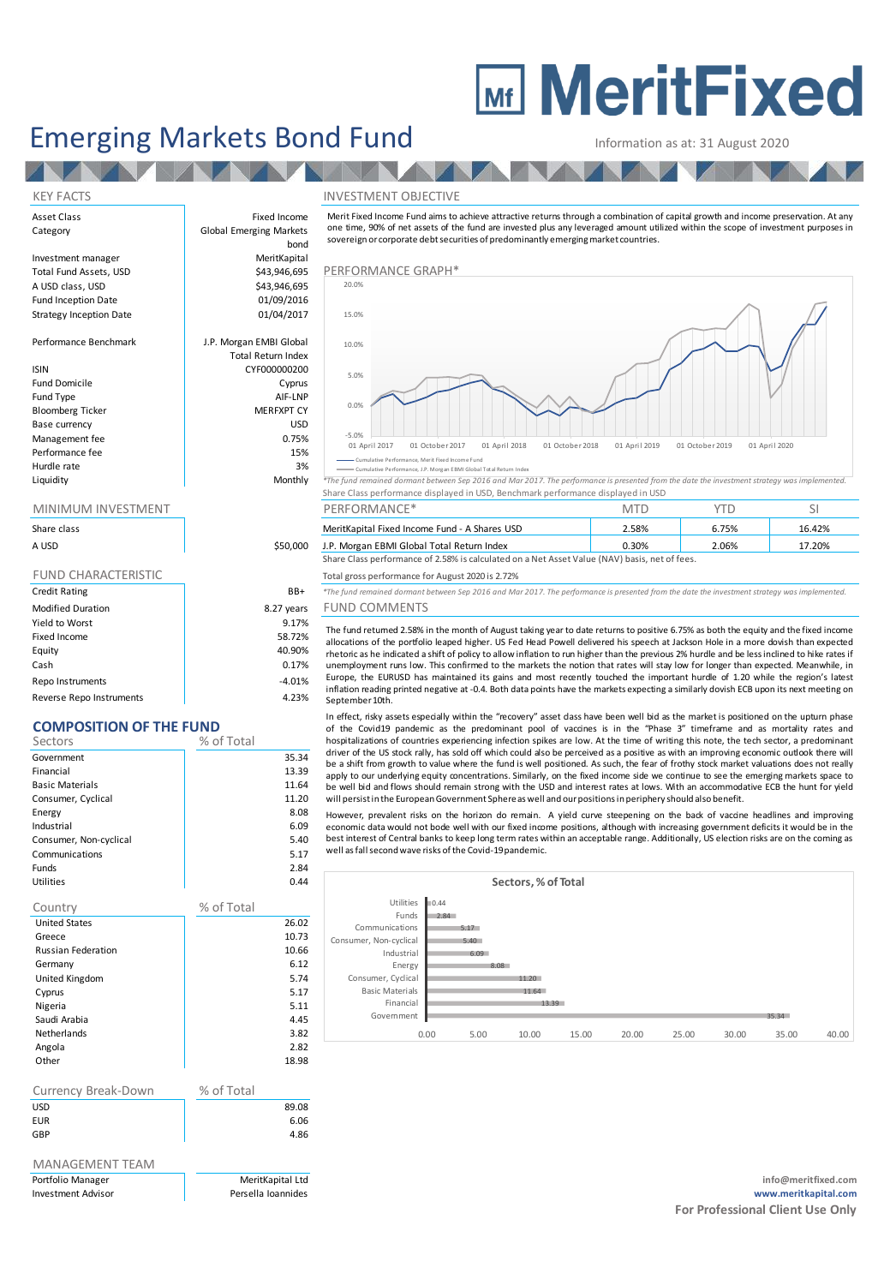# **MEDITY MeritFixed**

## Emerging Markets Bond Fund Information as at: 31 August 2020

#### KEY FACTS INVESTMENT OBJECTIVE

Asset Class **Fixed Income** Category **Global Emerging Markets** Investment manager **MeritKapital**<br>1943,946,695 Total Fund Assets, USD Total Fund Assets, USD **\$43,946,695** PERFORMANCE GRAPH\* A USD class, USD  $$43,946,695$ <br>Fund Inception Date  $$01/09/2016$ Fund Inception Date **12 bis 1200 million**<br>Strategy Inception Date 1986 million 01/04/2017 Strategy Inception Date Performance Benchmark J.P. Morgan EMBI Global Total Return Index ISIN CYF000000200 Fund Domicile **Cyprus** Fund Type AIF-LNP<br>Bloomberg Ticker AIF-LNP MERFXPT CY Bloomberg Ticker Base currency USD Management fee between the contraction of the contraction of the contraction of the contraction of the contraction of the contraction of the contraction of the contraction of the contraction of the contraction of the contr Performance fee 15% and 15% and 15% and 15% and 15% and 15% and 15% and 15% and 15% and 15% and 15% and 15% and 15% and 15% and 15% and 15% and 15% and 15% and 15% and 15% and 15% and 15% and 15% and 15% and 15% and 15% an Hurdle rate and the state of the state of the state of the state of the state of the state of the state of the state of the state of the state of the state of the state of the state of the state of the state of the state o

**TANK THE** 

| Share class                |            |
|----------------------------|------------|
| A USD                      | \$50,000   |
|                            |            |
| <b>FUND CHARACTERISTIC</b> |            |
| <b>Credit Rating</b>       | BB+        |
| <b>Modified Duration</b>   | 8.27 years |
| Yield to Worst             | 9.17%      |
| Fixed Income               | 58.72%     |
| Equity                     | 40.90%     |
| Cash                       | 0.17%      |

Repo Instruments 4.01% Reverse Repo Instruments and the contract of the 4.23%

### **COMPOSITION OF THE FUND**

| Sectors                | % of Total |       |
|------------------------|------------|-------|
| Government             |            | 35.34 |
| Financial              |            | 13.39 |
| <b>Basic Materials</b> |            | 11.64 |
| Consumer, Cyclical     |            | 11.20 |
| Energy                 |            | 8.08  |
| Industrial             |            | 6.09  |
| Consumer, Non-cyclical |            | 5.40  |
| Communications         |            | 5.17  |
| <b>Funds</b>           |            | 2.84  |
| Utilities              |            | 0.44  |
|                        |            |       |

| Country                   | % of Total |
|---------------------------|------------|
| <b>United States</b>      | 26.02      |
| Greece                    | 10.73      |
| <b>Russian Federation</b> | 10.66      |
| Germany                   | 6.12       |
| United Kingdom            | 5.74       |
| Cyprus                    | 5.17       |
| Nigeria                   | 5.11       |
| Saudi Arabia              | 4.45       |
| <b>Netherlands</b>        | 3.82       |
| Angola                    | 2.82       |
| Other                     | 18.98      |

| Currency Break-Down | % of Total |       |
|---------------------|------------|-------|
| <b>USD</b>          |            | 89.08 |
| <b>EUR</b>          |            | 6.06  |
| GBP                 |            | 4.86  |
|                     |            |       |

### MANAGEMENT TEAM

bond Information as at: 31 August 2020<br>
NVESTMENT OBJECTIVE<br>
Merit Fixed Income Fund aims to achieve attractive returns through a combination of capital growth and income preservation. At any<br>
one time, 90% of net assets of the sovereign or corporate debt securities of predominantly emerging market countries.



Cumulative Performance, Merit Fixed Income Fund

**CONFIDENTIFY CONSUMING THE CONFIDENTIFY CONFIDENTIFY CONFIDENTIFY CONFIDENTIFY CONFIDENTIFY CONFIDENTIFY CONFIDENTIFY CONFIDENTIFY CONFIDENTIFY CONFIDENTIFY CONFIDENTIFY CONFIDENTIFY CONFIDENTIFY CONFIDENTIFY CONFIDENTIFY** Share Class performance displayed in USD, Benchmark performance displayed in USD

| MINIMUM INVESTMENT                                                                            |          | PERFORMANCE <sup>*</sup>                      |       |       |        |
|-----------------------------------------------------------------------------------------------|----------|-----------------------------------------------|-------|-------|--------|
| Share class                                                                                   |          | MeritKapital Fixed Income Fund - A Shares USD | 2.58% | 6.75% | 16.42% |
| A USD                                                                                         | \$50,000 | J.P. Morgan EBMI Global Total Return Index    | 0.30% | 2.06% | 17.20% |
| Share Class performance of 2.58% is calculated on a Net Asset Value (NAV) basis, net of fees. |          |                                               |       |       |        |

Total gross performance for August 2020 is 2.72%

Credit Rating BB+ *\*The fund remained dormant between Sep 2016 and Mar 2017. The performance is presented from the date the investment strategy was implemented.*

### ears FUND COMMENTS

**P. Morgan EBMI Global Total Return Index**<br>
17.20% Share Class performance of 2.58% is calculated on a Net Asset Value (NAV) basis, net of fees.<br>
The fund gross performance for August 2020 is 2.72%<br>
The fund remained doman Europe, the EURUSD has maintained its gains and most recently touched the important hurdle of 1.20 while the region's latest inflation reading printed negative at -0.4. Both data points have the markets expecting a similarly dovish ECB upon its next meeting on September 10th. The fund returned 2.58% in the month of August taking year to date returns to positive 6.75% as both the equity and the fixed income allocations of the portfolio leaped higher. US Fed Head Powell delivered his special at J

driver of the US stock rally, has sold off which could also be perceived as a positive as with an improving economic outlook there will In effect, risky assets especially within the "recovery" asset dass have been well bid as the market is positioned on the upturn phase<br>of the Covid19 pandemic as the predominant pool of vaccines is in the "Phase 3" timefra apply to our underlying equity concentrations. Similarly, on the fixed income side we continue to see the emerging markets space to be well bid and flows should remain strong with the USD and interest rates at lows. With an accommodative ECB the hunt for yield In effect, risky assets especially within the "recovery" asset dass have been well bid as the market is position for contricts experiencing infection spikes are low. At the time of writing this note, the form driver of the hospitalizations of countries experiencing infection spikes are low. At the time of writing this note, the tech sector, a predominant driver of the US stock rally, has sold off which could also be perceived as a positive a

However, prevalent risks on the horizon do remain. A yield curve steepening on the back of vaccine headlines and improving best interest of Central banks to keep long term rates within an acceptable range. Additionally, US election risks are on the coming as well as fall second wave risks of the Covid-19 pandemic.



Portfolio Manager MeritKapital Ltd **info@meritfixed.com** Investment Advisor Persella Ioannides **www.meritkapital.com For Professional Client Use Only**